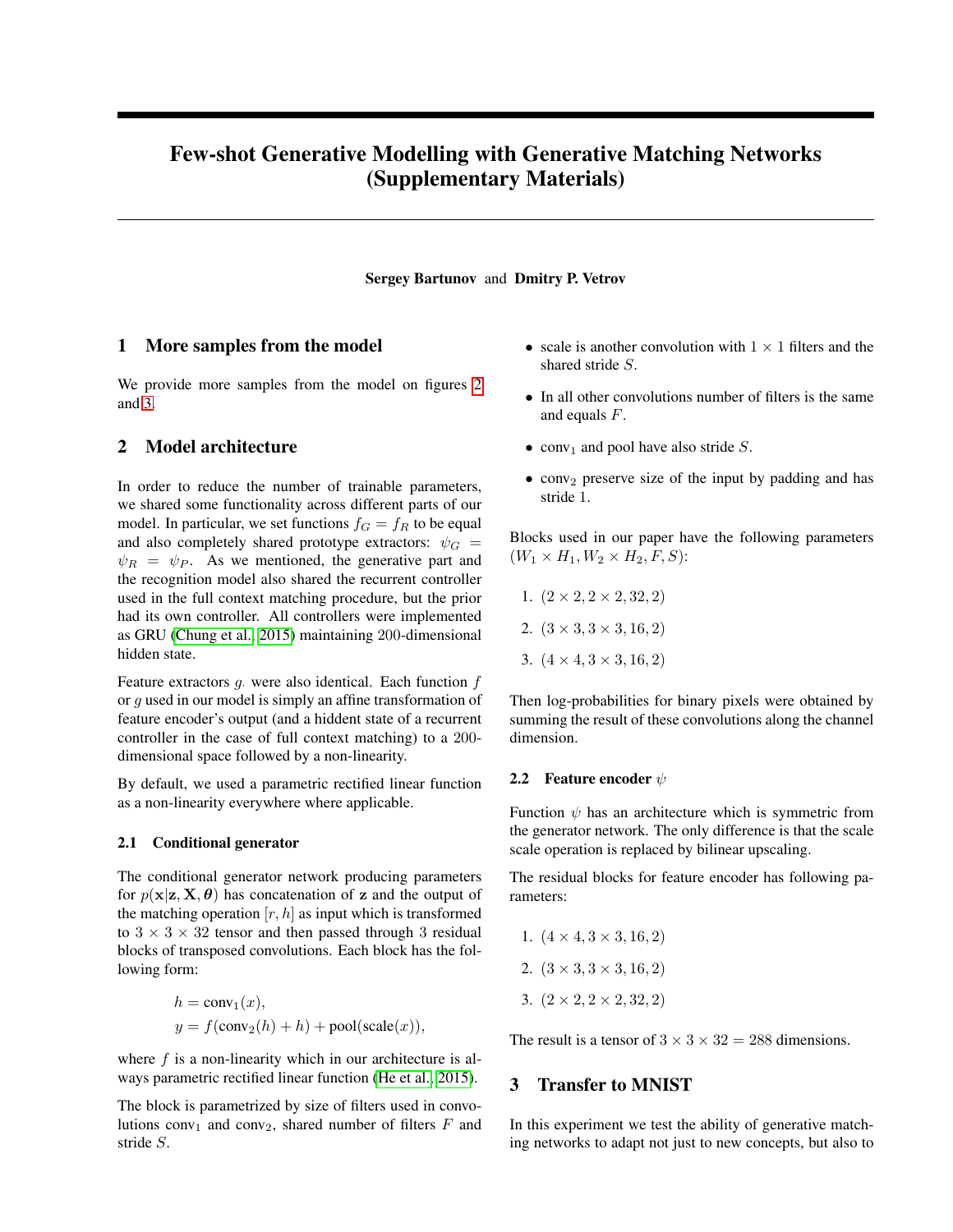# Few-shot Generative Modelling with Generative Matching Networks (Supplementary Materials)

#### Sergey Bartunov and Dmitry P. Vetrov

## 1 More samples from the model

We provide more samples from the model on figures [2](#page-2-0) and [3.](#page-3-0)

# 2 Model architecture

In order to reduce the number of trainable parameters, we shared some functionality across different parts of our model. In particular, we set functions  $f<sub>G</sub> = f<sub>R</sub>$  to be equal and also completely shared prototype extractors:  $\psi_G$  =  $\psi_R = \psi_P$ . As we mentioned, the generative part and the recognition model also shared the recurrent controller used in the full context matching procedure, but the prior had its own controller. All controllers were implemented as GRU [\(Chung et al., 2015\)](#page-4-0) maintaining 200-dimensional hidden state.

Feature extractors  $g$ . were also identical. Each function  $f$ or g used in our model is simply an affine transformation of feature encoder's output (and a hiddent state of a recurrent controller in the case of full context matching) to a 200 dimensional space followed by a non-linearity.

By default, we used a parametric rectified linear function as a non-linearity everywhere where applicable.

#### 2.1 Conditional generator

The conditional generator network producing parameters for  $p(x|z, X, \theta)$  has concatenation of z and the output of the matching operation  $[r, h]$  as input which is transformed to  $3 \times 3 \times 32$  tensor and then passed through 3 residual blocks of transposed convolutions. Each block has the following form:

$$
h = \text{conv}_1(x),
$$
  

$$
y = f(\text{conv}_2(h) + h) + \text{pool}(\text{scale}(x)),
$$

where  $f$  is a non-linearity which in our architecture is always parametric rectified linear function [\(He et al., 2015\)](#page-4-1).

The block is parametrized by size of filters used in convolutions conv<sub>1</sub> and conv<sub>2</sub>, shared number of filters  $F$  and stride S.

- scale is another convolution with  $1 \times 1$  filters and the shared stride S.
- In all other convolutions number of filters is the same and equals  $F$ .
- conv<sub>1</sub> and pool have also stride  $S$ .
- conv<sub>2</sub> preserve size of the input by padding and has stride 1.

Blocks used in our paper have the following parameters  $(W_1 \times H_1, W_2 \times H_2, F, S)$ :

- 1.  $(2 \times 2, 2 \times 2, 32, 2)$
- 2.  $(3 \times 3, 3 \times 3, 16, 2)$
- 3.  $(4 \times 4, 3 \times 3, 16, 2)$

Then log-probabilities for binary pixels were obtained by summing the result of these convolutions along the channel dimension.

#### 2.2 Feature encoder  $\psi$

Function  $\psi$  has an architecture which is symmetric from the generator network. The only difference is that the scale scale operation is replaced by bilinear upscaling.

The residual blocks for feature encoder has following parameters:

1.  $(4 \times 4, 3 \times 3, 16, 2)$ 2.  $(3 \times 3, 3 \times 3, 16, 2)$ 3.  $(2 \times 2, 2 \times 2, 32, 2)$ 

The result is a tensor of  $3 \times 3 \times 32 = 288$  dimensions.

### 3 Transfer to MNIST

In this experiment we test the ability of generative matching networks to adapt not just to new concepts, but also to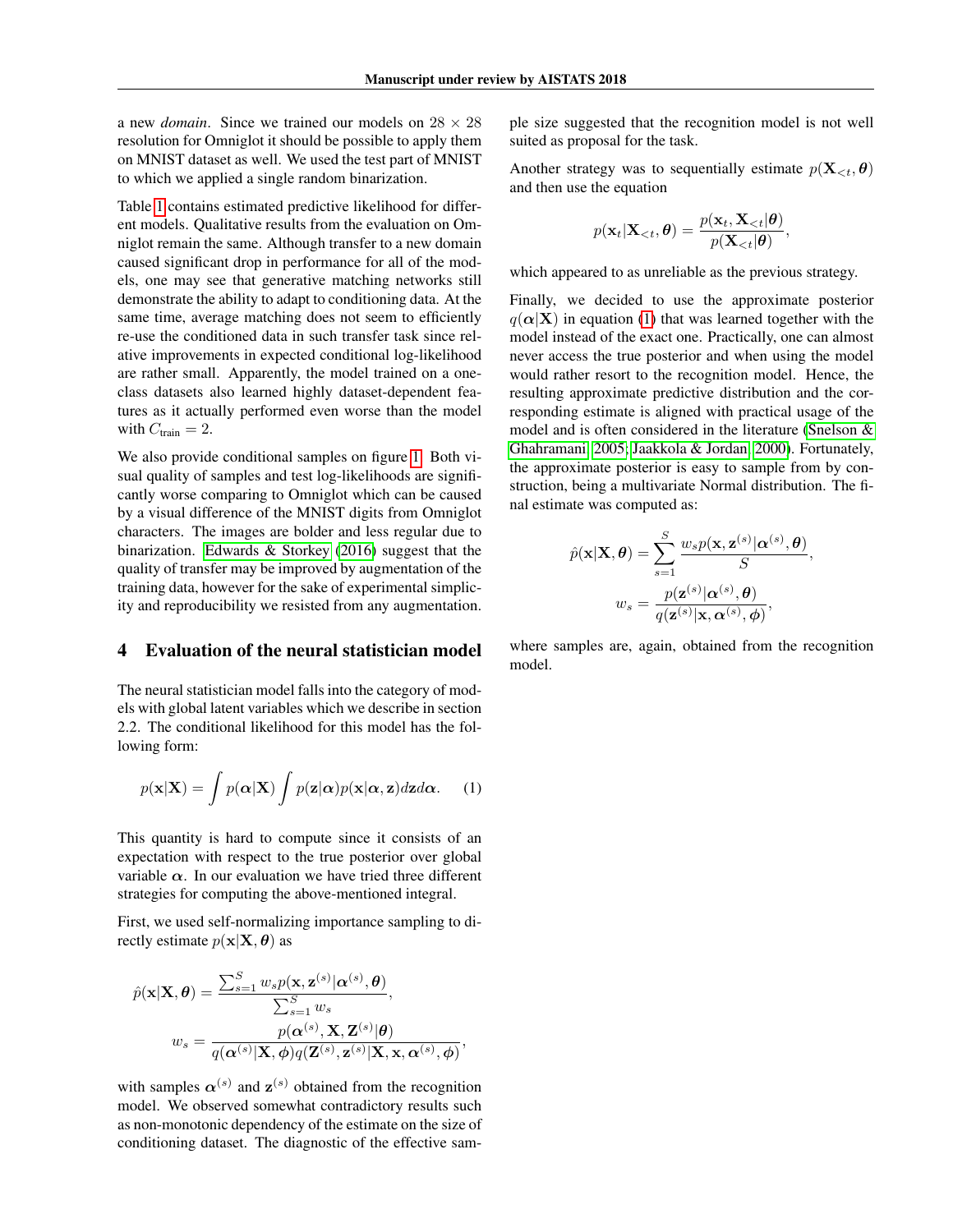a new *domain*. Since we trained our models on  $28 \times 28$ resolution for Omniglot it should be possible to apply them on MNIST dataset as well. We used the test part of MNIST to which we applied a single random binarization.

Table [1](#page-4-2) contains estimated predictive likelihood for different models. Qualitative results from the evaluation on Omniglot remain the same. Although transfer to a new domain caused significant drop in performance for all of the models, one may see that generative matching networks still demonstrate the ability to adapt to conditioning data. At the same time, average matching does not seem to efficiently re-use the conditioned data in such transfer task since relative improvements in expected conditional log-likelihood are rather small. Apparently, the model trained on a oneclass datasets also learned highly dataset-dependent features as it actually performed even worse than the model with  $C_{\text{train}} = 2$ .

We also provide conditional samples on figure [1.](#page-2-1) Both visual quality of samples and test log-likelihoods are significantly worse comparing to Omniglot which can be caused by a visual difference of the MNIST digits from Omniglot characters. The images are bolder and less regular due to binarization. [Edwards & Storkey](#page-4-3) [\(2016\)](#page-4-3) suggest that the quality of transfer may be improved by augmentation of the training data, however for the sake of experimental simplicity and reproducibility we resisted from any augmentation.

# 4 Evaluation of the neural statistician model

The neural statistician model falls into the category of models with global latent variables which we describe in section 2.2. The conditional likelihood for this model has the following form:

<span id="page-1-0"></span>
$$
p(\mathbf{x}|\mathbf{X}) = \int p(\boldsymbol{\alpha}|\mathbf{X}) \int p(\mathbf{z}|\boldsymbol{\alpha}) p(\mathbf{x}|\boldsymbol{\alpha}, \mathbf{z}) d\mathbf{z} d\boldsymbol{\alpha}.
$$
 (1)

This quantity is hard to compute since it consists of an expectation with respect to the true posterior over global variable  $\alpha$ . In our evaluation we have tried three different strategies for computing the above-mentioned integral.

First, we used self-normalizing importance sampling to directly estimate  $p(\mathbf{x}|\mathbf{X}, \boldsymbol{\theta})$  as

$$
\hat{p}(\mathbf{x}|\mathbf{X}, \boldsymbol{\theta}) = \frac{\sum_{s=1}^{S} w_s p(\mathbf{x}, \mathbf{z}^{(s)}|\boldsymbol{\alpha}^{(s)}, \boldsymbol{\theta})}{\sum_{s=1}^{S} w_s},
$$
\n
$$
w_s = \frac{p(\boldsymbol{\alpha}^{(s)}, \mathbf{X}, \mathbf{Z}^{(s)}|\boldsymbol{\theta})}{q(\boldsymbol{\alpha}^{(s)}|\mathbf{X}, \boldsymbol{\phi})q(\mathbf{Z}^{(s)}, \mathbf{z}^{(s)}|\mathbf{X}, \mathbf{x}, \boldsymbol{\alpha}^{(s)}, \boldsymbol{\phi})},
$$

with samples  $\alpha^{(s)}$  and  $z^{(s)}$  obtained from the recognition model. We observed somewhat contradictory results such as non-monotonic dependency of the estimate on the size of conditioning dataset. The diagnostic of the effective sample size suggested that the recognition model is not well suited as proposal for the task.

Another strategy was to sequentially estimate  $p(\mathbf{X}_{\leq t}, \theta)$ and then use the equation

$$
p(\mathbf{x}_t|\mathbf{X}_{< t}, \boldsymbol{\theta}) = \frac{p(\mathbf{x}_t, \mathbf{X}_{< t}|\boldsymbol{\theta})}{p(\mathbf{X}_{< t}|\boldsymbol{\theta})},
$$

which appeared to as unreliable as the previous strategy.

Finally, we decided to use the approximate posterior  $q(\alpha|X)$  in equation [\(1\)](#page-1-0) that was learned together with the model instead of the exact one. Practically, one can almost never access the true posterior and when using the model would rather resort to the recognition model. Hence, the resulting approximate predictive distribution and the corresponding estimate is aligned with practical usage of the model and is often considered in the literature [\(Snelson &](#page-4-4) [Ghahramani, 2005;](#page-4-4) [Jaakkola & Jordan, 2000\)](#page-4-5). Fortunately, the approximate posterior is easy to sample from by construction, being a multivariate Normal distribution. The final estimate was computed as:

$$
\hat{p}(\mathbf{x}|\mathbf{X}, \boldsymbol{\theta}) = \sum_{s=1}^{S} \frac{w_s p(\mathbf{x}, \mathbf{z}^{(s)}|\boldsymbol{\alpha}^{(s)}, \boldsymbol{\theta})}{S},
$$

$$
w_s = \frac{p(\mathbf{z}^{(s)}|\boldsymbol{\alpha}^{(s)}, \boldsymbol{\theta})}{q(\mathbf{z}^{(s)}|\mathbf{x}, \boldsymbol{\alpha}^{(s)}, \boldsymbol{\phi})},
$$

where samples are, again, obtained from the recognition model.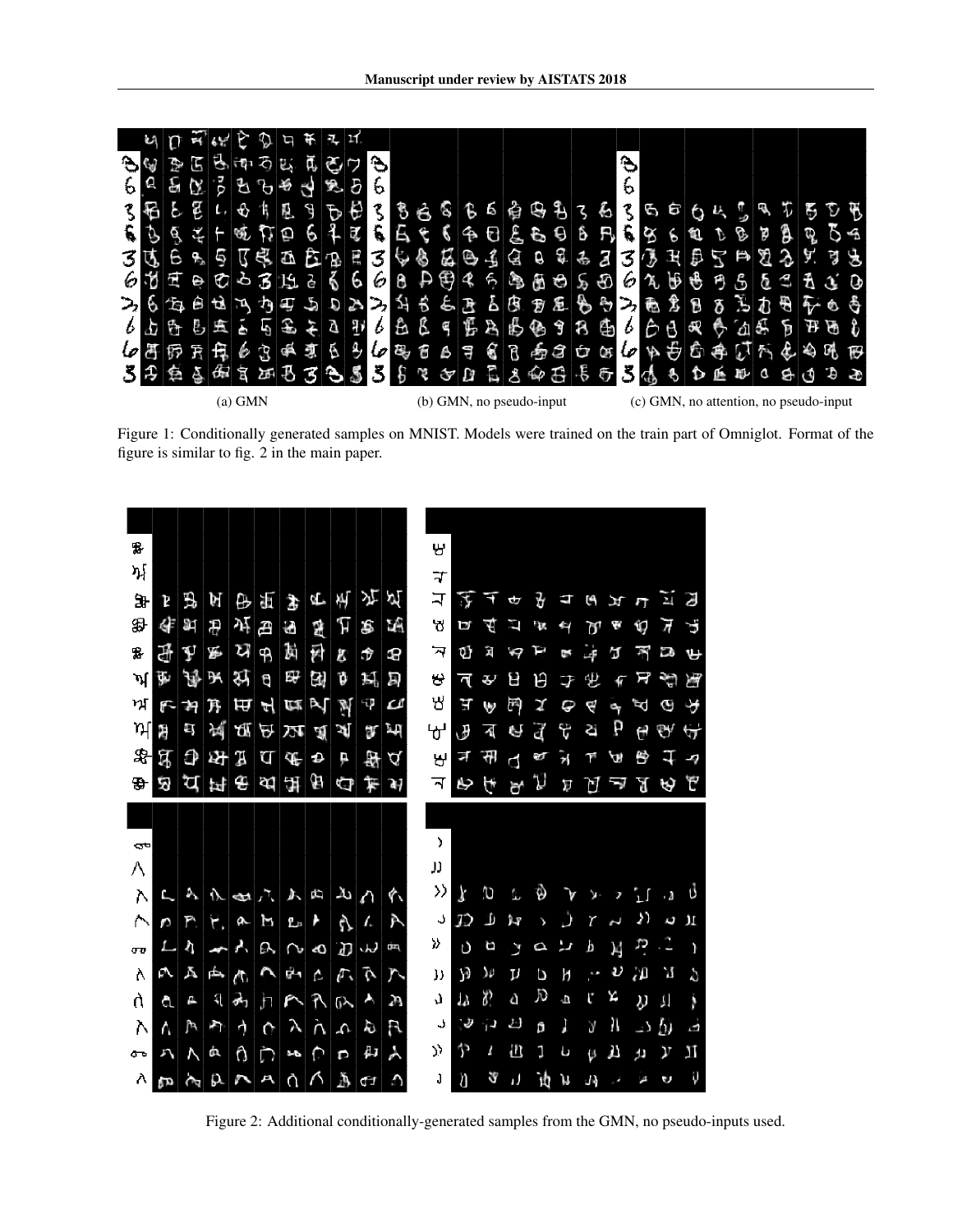<span id="page-2-1"></span>

Figure 1: Conditionally generated samples on MNIST. Models were trained on the train part of Omniglot. Format of the figure is similar to fig. 2 in the main paper.

<span id="page-2-0"></span>

Figure 2: Additional conditionally-generated samples from the GMN, no pseudo-inputs used.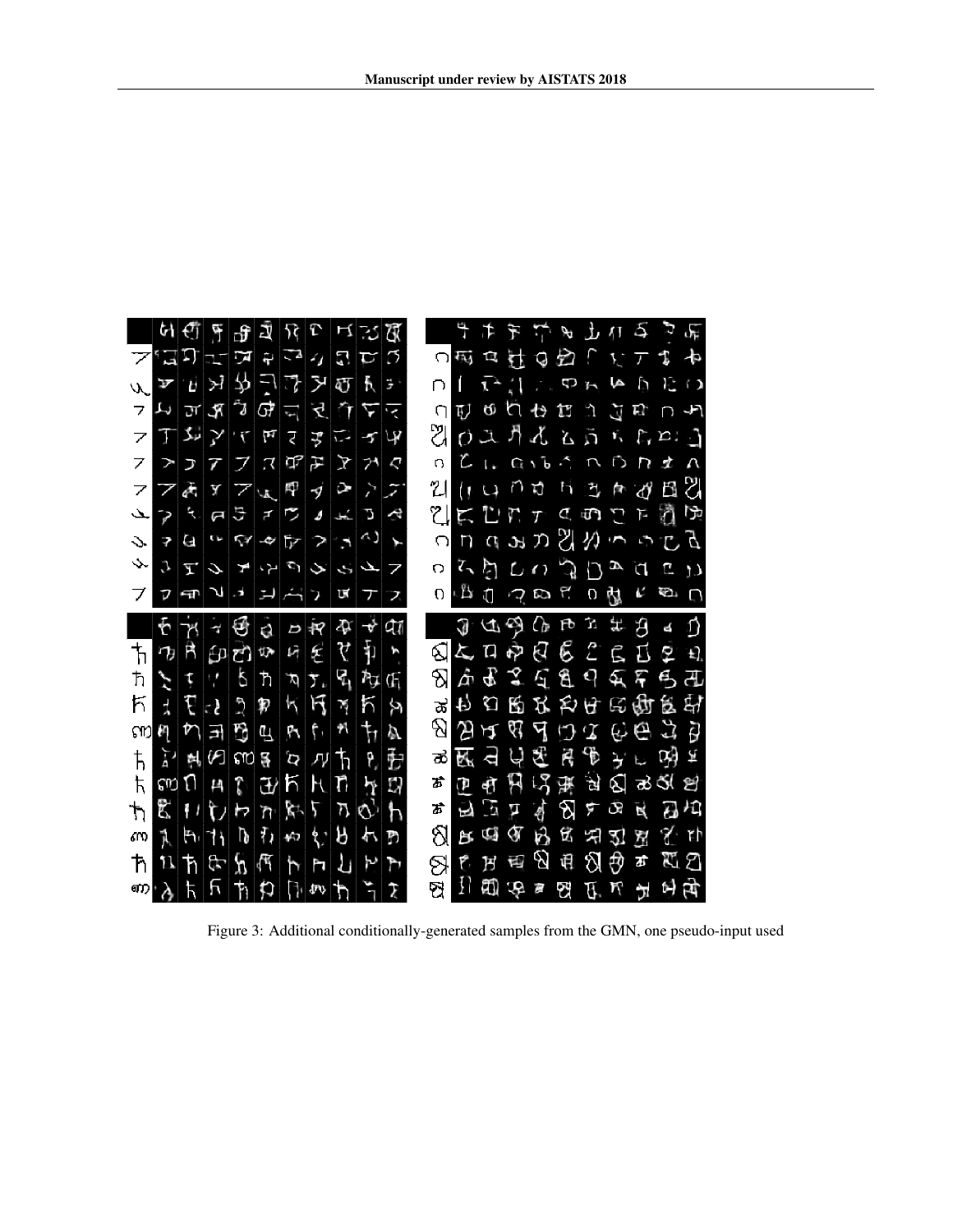<span id="page-3-0"></span>

Figure 3: Additional conditionally-generated samples from the GMN, one pseudo-input used